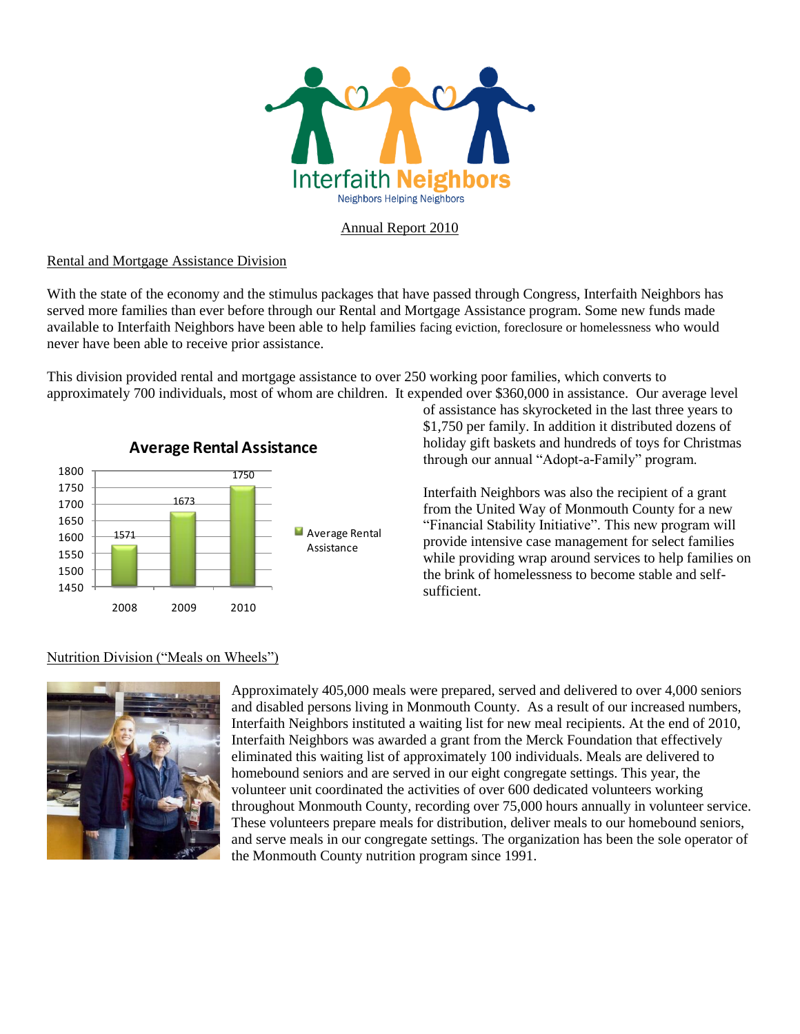

### Annual Report 2010

### Rental and Mortgage Assistance Division

With the state of the economy and the stimulus packages that have passed through Congress, Interfaith Neighbors has served more families than ever before through our Rental and Mortgage Assistance program. Some new funds made available to Interfaith Neighbors have been able to help families facing eviction, foreclosure or homelessness who would never have been able to receive prior assistance.

This division provided rental and mortgage assistance to over 250 working poor families, which converts to approximately 700 individuals, most of whom are children. It expended over \$360,000 in assistance. Our average level



of assistance has skyrocketed in the last three years to \$1,750 per family. In addition it distributed dozens of holiday gift baskets and hundreds of toys for Christmas through our annual "Adopt-a-Family" program.

Interfaith Neighbors was also the recipient of a grant from the United Way of Monmouth County for a new "Financial Stability Initiative". This new program will provide intensive case management for select families while providing wrap around services to help families on the brink of homelessness to become stable and selfsufficient.

# Nutrition Division ("Meals on Wheels")



Approximately 405,000 meals were prepared, served and delivered to over 4,000 seniors and disabled persons living in Monmouth County. As a result of our increased numbers, Interfaith Neighbors instituted a waiting list for new meal recipients. At the end of 2010, Interfaith Neighbors was awarded a grant from the Merck Foundation that effectively eliminated this waiting list of approximately 100 individuals. Meals are delivered to homebound seniors and are served in our eight congregate settings. This year, the volunteer unit coordinated the activities of over 600 dedicated volunteers working throughout Monmouth County, recording over 75,000 hours annually in volunteer service. These volunteers prepare meals for distribution, deliver meals to our homebound seniors, and serve meals in our congregate settings. The organization has been the sole operator of the Monmouth County nutrition program since 1991.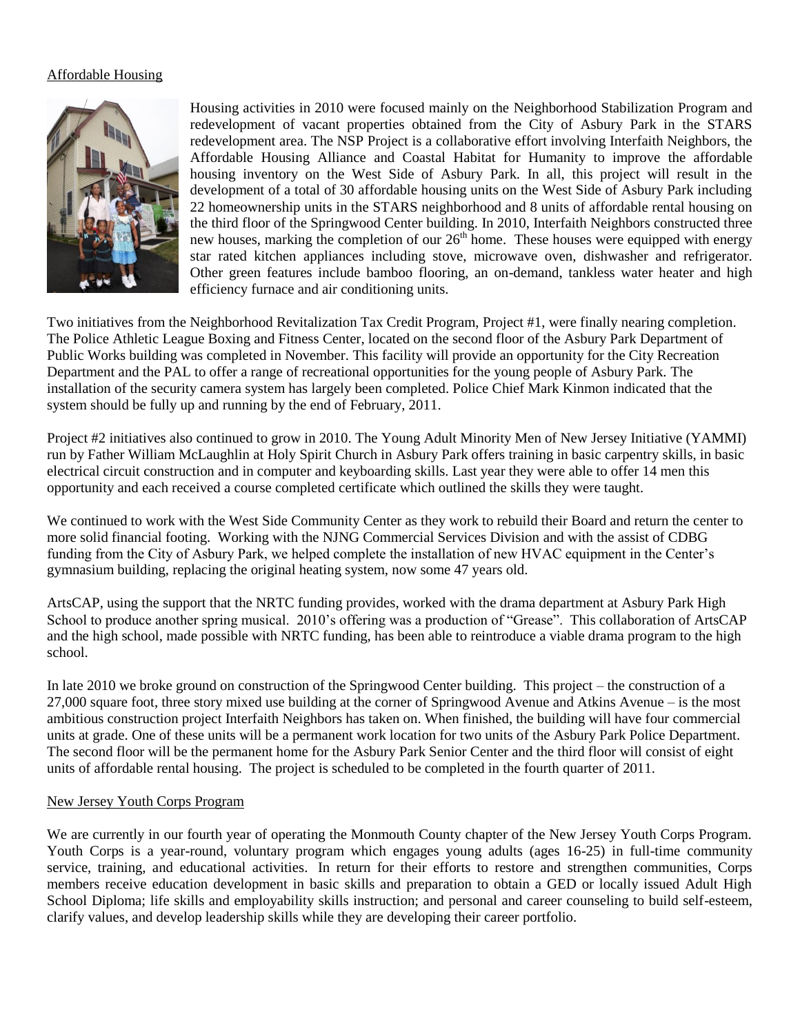## Affordable Housing



Housing activities in 2010 were focused mainly on the Neighborhood Stabilization Program and redevelopment of vacant properties obtained from the City of Asbury Park in the STARS redevelopment area. The NSP Project is a collaborative effort involving Interfaith Neighbors, the Affordable Housing Alliance and Coastal Habitat for Humanity to improve the affordable housing inventory on the West Side of Asbury Park. In all, this project will result in the development of a total of 30 affordable housing units on the West Side of Asbury Park including 22 homeownership units in the STARS neighborhood and 8 units of affordable rental housing on the third floor of the Springwood Center building. In 2010, Interfaith Neighbors constructed three new houses, marking the completion of our  $26<sup>th</sup>$  home. These houses were equipped with energy star rated kitchen appliances including stove, microwave oven, dishwasher and refrigerator. Other green features include bamboo flooring, an on-demand, tankless water heater and high efficiency furnace and air conditioning units.

Two initiatives from the Neighborhood Revitalization Tax Credit Program, Project #1, were finally nearing completion. The Police Athletic League Boxing and Fitness Center, located on the second floor of the Asbury Park Department of Public Works building was completed in November. This facility will provide an opportunity for the City Recreation Department and the PAL to offer a range of recreational opportunities for the young people of Asbury Park. The installation of the security camera system has largely been completed. Police Chief Mark Kinmon indicated that the system should be fully up and running by the end of February, 2011.

Project #2 initiatives also continued to grow in 2010. The Young Adult Minority Men of New Jersey Initiative (YAMMI) run by Father William McLaughlin at Holy Spirit Church in Asbury Park offers training in basic carpentry skills, in basic electrical circuit construction and in computer and keyboarding skills. Last year they were able to offer 14 men this opportunity and each received a course completed certificate which outlined the skills they were taught.

We continued to work with the West Side Community Center as they work to rebuild their Board and return the center to more solid financial footing. Working with the NJNG Commercial Services Division and with the assist of CDBG funding from the City of Asbury Park, we helped complete the installation of new HVAC equipment in the Center's gymnasium building, replacing the original heating system, now some 47 years old.

ArtsCAP, using the support that the NRTC funding provides, worked with the drama department at Asbury Park High School to produce another spring musical. 2010's offering was a production of "Grease". This collaboration of ArtsCAP and the high school, made possible with NRTC funding, has been able to reintroduce a viable drama program to the high school.

In late 2010 we broke ground on construction of the Springwood Center building. This project – the construction of a 27,000 square foot, three story mixed use building at the corner of Springwood Avenue and Atkins Avenue – is the most ambitious construction project Interfaith Neighbors has taken on. When finished, the building will have four commercial units at grade. One of these units will be a permanent work location for two units of the Asbury Park Police Department. The second floor will be the permanent home for the Asbury Park Senior Center and the third floor will consist of eight units of affordable rental housing. The project is scheduled to be completed in the fourth quarter of 2011.

### New Jersey Youth Corps Program

We are currently in our fourth year of operating the Monmouth County chapter of the New Jersey Youth Corps Program. Youth Corps is a year-round, voluntary program which engages young adults (ages 16-25) in full-time community service, training, and educational activities. In return for their efforts to restore and strengthen communities, Corps members receive education development in basic skills and preparation to obtain a GED or locally issued Adult High School Diploma; life skills and employability skills instruction; and personal and career counseling to build self-esteem, clarify values, and develop leadership skills while they are developing their career portfolio.